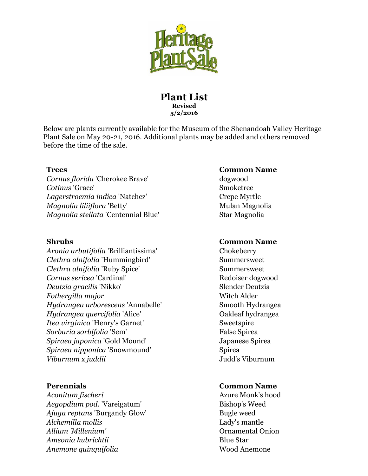

## **Plant List Revised 5/2/2016**

Below are plants currently available for the Museum of the Shenandoah Valley Heritage Plant Sale on May 20-21, 2016. Additional plants may be added and others removed before the time of the sale.

*Cornus florida 'Cherokee Brave'* dogwood *Cotinus* 'Grace' Smoketree *Lagerstroemia indica* 'Natchez' Crepe Myrtle *Magnolia liliiflora* 'Betty' Mulan Magnolia *Magnolia stellata* 'Centennial Blue' Star Magnolia

*Aronia arbutifolia* 'Brilliantissima' Chokeberry *Clethra alnifolia* 'Hummingbird' Summersweet *Clethra alnifolia* 'Ruby Spice' Summersweet **Cornus sericea 'Cardinal'** Redoiser dogwood *Deutzia gracilis* 'Nikko' Slender Deutzia *Fothergilla major* Witch Alder *Hydrangea arborescens* 'Annabelle' Smooth Hydrangea *Hydrangea quercifolia* 'Alice' Oakleaf hydrangea *Itea virginica 'Henry's Garnet'* Sweetspire *Sorbaria sorbifolia* 'Sem' False Spirea *Spiraea japonica* 'Gold Mound' Japanese Spirea *Spiraea nipponica 'Snowmound'* Spirea *Viburnum x juddii Judd's Viburnum* 

*Aconitum fischeri* **Azure Monk's hood** *Aegopdium pod.* 'Vareigatum' Bishop's Weed *Ajuga reptans 'Burgandy Glow'* Bugle weed *Alchemilla mollis* Lady's mantle *Allium 'Millenium'* Ornamental Onion *Amsonia hubrichtii* Blue Star *Anemone quinquifolia* **Wood Anemone** 

### **Trees Common Name**

### **Shrubs Common Name**

### **Perennials Common Name**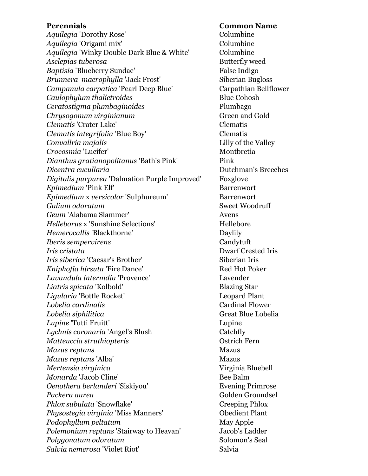*Aquilegia* 'Dorothy Rose' Columbine *Aquilegia* 'Origami mix' Columbine Aquilegia 'Winky Double Dark Blue & White' Columbine *Asclepias tuberosa* **Butterfly weed** *Baptisia* 'Blueberry Sundae' False Indigo *Brunnera macrophylla* 'Jack Frost' Siberian Bugloss *Campanula carpatica* 'Pearl Deep Blue' Carpathian Bellflower *Caulophylum thalictroides* **Blue Cohosh** *Ceratostigma plumbaginoides* Plumbago *Chrysogonum virginianum* **Green** and Gold *Clematis* 'Crater Lake' Clematis *Clematis integrifolia* 'Blue Boy' Clematis *Convallria majalis* Lilly of the Valley *Crocosmia* 'Lucifer' Montbretia *Dianthus gratianopolitanus* 'Bath's Pink' Pink *Dicentra cucullaria* 2002 and 2003 Dutchman's Breeches *Digitalis purpurea* 'Dalmation Purple Improved' Foxglove *Epimedium* 'Pink Elf' Barrenwort *Epimedium x versicolor 'Sulphureum'* Barrenwort **Galium odoratum**  Sweet Woodruff *Geum* 'Alabama Slammer' Avens *Helleborus* **x** 'Sunshine Selections' **Hellebore** *Hemerocallis* 'Blackthorne' Daylily *Iberis sempervirens* Candytuft *Iris cristata* Dwarf Crested Iris *Iris siberica 'Caesar's Brother'* Siberian Iris *Kniphofia hirsuta* 'Fire Dance' Red Hot Poker *Lavandula intermdia* 'Provence' Lavender *Liatris spicata* 'Kolbold' Blazing Star *Ligularia* 'Bottle Rocket' Leopard Plant *Lobelia cardinalis* Cardinal Flower *Lobelia siphilitica* Great Blue Lobelia *Lupine* 'Tutti Fruitt' Lupine *Lychnis coronaria* 'Angel's Blush Catchfly *Matteuccia struthiopteris* Ostrich Fern *Mazus reptans* Mazus *Mazus reptans 'Alba'* Mazus *Mertensia virginica* Virginia Bluebell *Monarda* 'Jacob Cline' Bee Balm *Oenothera berlanderi 'Siskiyou'* Evening Primrose **Packera aurea biographic contract contract contract contract contract contract contract contract contract contract contract contract contract contract contract contract contract contract contract contract contract contrac** *Phlox subulata 'Snowflake'* Creeping Phlox *Physostegia virginia* 'Miss Manners' Obedient Plant *Podophyllum peltatum* May Apple *Polemonium reptans* 'Stairway to Heavan' Jacob's Ladder *Polygonatum odoratum* **Solomon's Seal** *Salvia nemerosa* 'Violet Riot' Salvia

**Perennials Common Name**